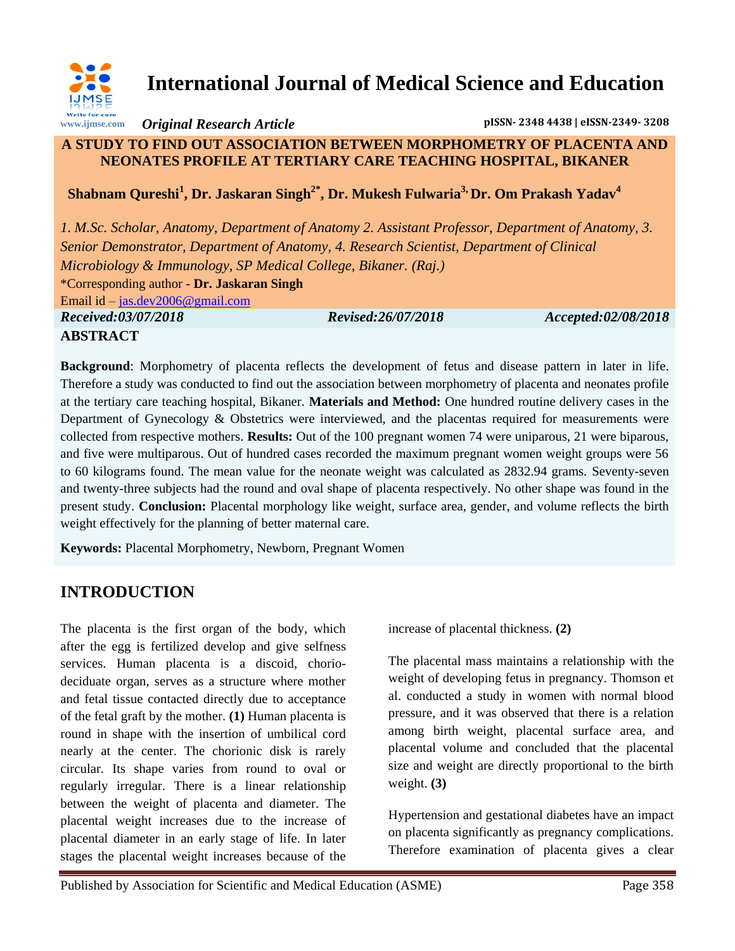

# **International Journal of Medical Science and Education**

*Original Research Article* **pISSN- 2348 4438 | eISSN-2349- 3208**

#### **A STUDY TO FIND OUT ASSOCIATION BETWEEN MORPHOMETRY OF PLACENTA AND NEONATES PROFILE AT TERTIARY CARE TEACHING HOSPITAL, BIKANER**

 **Shabnam Qureshi<sup>1</sup> , Dr. Jaskaran Singh2\* , Dr. Mukesh Fulwaria3, Dr. Om Prakash Yadav<sup>4</sup>**

*1. M.Sc. Scholar, Anatomy, Department of Anatomy 2. Assistant Professor, Department of Anatomy, 3. Senior Demonstrator, Department of Anatomy, 4. Research Scientist, Department of Clinical Microbiology & Immunology, SP Medical College, Bikaner. (Raj.)* \*Corresponding author - **Dr. Jaskaran Singh** Email id – [jas.dev2006@gmail.com](mailto:jas.dev2006@gmail.com) *Received:03/07/2018 Revised:26/07/2018 Accepted:02/08/2018*

**ABSTRACT**

**Background**: Morphometry of placenta reflects the development of fetus and disease pattern in later in life. Therefore a study was conducted to find out the association between morphometry of placenta and neonates profile at the tertiary care teaching hospital, Bikaner. **Materials and Method:** One hundred routine delivery cases in the Department of Gynecology & Obstetrics were interviewed, and the placentas required for measurements were collected from respective mothers. **Results:** Out of the 100 pregnant women 74 were uniparous, 21 were biparous, and five were multiparous. Out of hundred cases recorded the maximum pregnant women weight groups were 56 to 60 kilograms found. The mean value for the neonate weight was calculated as 2832.94 grams. Seventy-seven and twenty-three subjects had the round and oval shape of placenta respectively. No other shape was found in the present study. **Conclusion:** Placental morphology like weight, surface area, gender, and volume reflects the birth weight effectively for the planning of better maternal care.

**Keywords:** Placental Morphometry, Newborn, Pregnant Women

## **INTRODUCTION**

The placenta is the first organ of the body, which after the egg is fertilized develop and give selfness services. Human placenta is a discoid, choriodeciduate organ, serves as a structure where mother and fetal tissue contacted directly due to acceptance of the fetal graft by the mother. **(1)** Human placenta is round in shape with the insertion of umbilical cord nearly at the center. The chorionic disk is rarely circular. Its shape varies from round to oval or regularly irregular. There is a linear relationship between the weight of placenta and diameter. The placental weight increases due to the increase of placental diameter in an early stage of life. In later stages the placental weight increases because of the

increase of placental thickness. **(2)**

The placental mass maintains a relationship with the weight of developing fetus in pregnancy. Thomson et al. conducted a study in women with normal blood pressure, and it was observed that there is a relation among birth weight, placental surface area, and placental volume and concluded that the placental size and weight are directly proportional to the birth weight. **(3)**

Hypertension and gestational diabetes have an impact on placenta significantly as pregnancy complications. Therefore examination of placenta gives a clear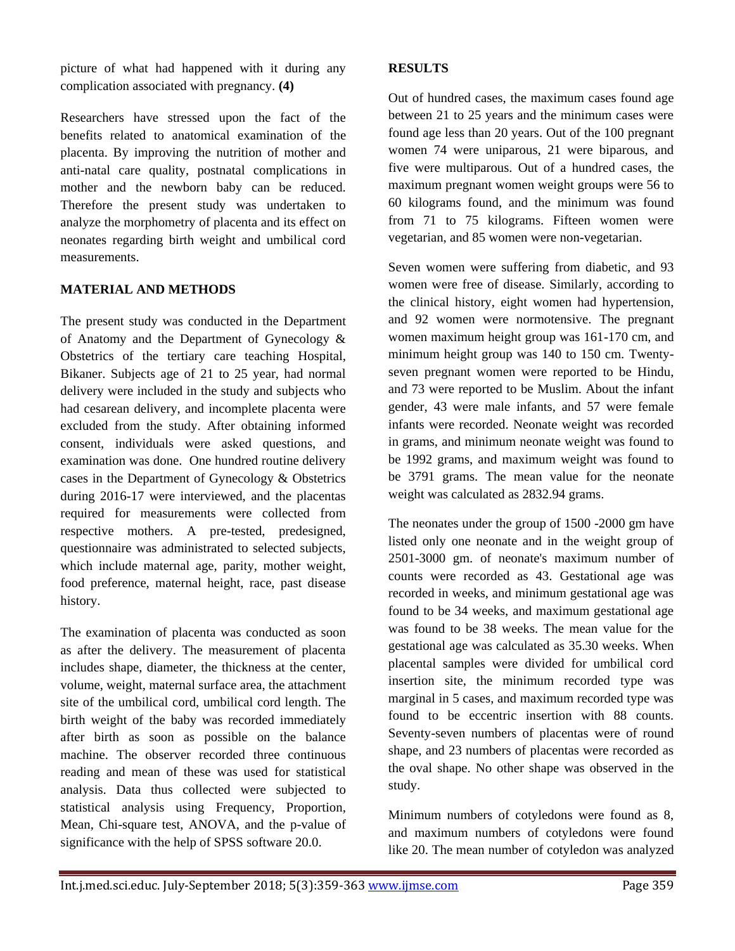picture of what had happened with it during any complication associated with pregnancy. **(4)**

Researchers have stressed upon the fact of the benefits related to anatomical examination of the placenta. By improving the nutrition of mother and anti-natal care quality, postnatal complications in mother and the newborn baby can be reduced. Therefore the present study was undertaken to analyze the morphometry of placenta and its effect on neonates regarding birth weight and umbilical cord measurements.

#### **MATERIAL AND METHODS**

The present study was conducted in the Department of Anatomy and the Department of Gynecology & Obstetrics of the tertiary care teaching Hospital, Bikaner. Subjects age of 21 to 25 year, had normal delivery were included in the study and subjects who had cesarean delivery, and incomplete placenta were excluded from the study. After obtaining informed consent, individuals were asked questions, and examination was done. One hundred routine delivery cases in the Department of Gynecology & Obstetrics during 2016-17 were interviewed, and the placentas required for measurements were collected from respective mothers. A pre-tested, predesigned, questionnaire was administrated to selected subjects, which include maternal age, parity, mother weight, food preference, maternal height, race, past disease history.

The examination of placenta was conducted as soon as after the delivery. The measurement of placenta includes shape, diameter, the thickness at the center, volume, weight, maternal surface area, the attachment site of the umbilical cord, umbilical cord length. The birth weight of the baby was recorded immediately after birth as soon as possible on the balance machine. The observer recorded three continuous reading and mean of these was used for statistical analysis. Data thus collected were subjected to statistical analysis using Frequency, Proportion, Mean, Chi-square test, ANOVA, and the p-value of significance with the help of SPSS software 20.0.

#### **RESULTS**

Out of hundred cases, the maximum cases found age between 21 to 25 years and the minimum cases were found age less than 20 years. Out of the 100 pregnant women 74 were uniparous, 21 were biparous, and five were multiparous. Out of a hundred cases, the maximum pregnant women weight groups were 56 to 60 kilograms found, and the minimum was found from 71 to 75 kilograms. Fifteen women were vegetarian, and 85 women were non-vegetarian.

Seven women were suffering from diabetic, and 93 women were free of disease. Similarly, according to the clinical history, eight women had hypertension, and 92 women were normotensive. The pregnant women maximum height group was 161-170 cm, and minimum height group was 140 to 150 cm. Twentyseven pregnant women were reported to be Hindu, and 73 were reported to be Muslim. About the infant gender, 43 were male infants, and 57 were female infants were recorded. Neonate weight was recorded in grams, and minimum neonate weight was found to be 1992 grams, and maximum weight was found to be 3791 grams. The mean value for the neonate weight was calculated as 2832.94 grams.

The neonates under the group of 1500 -2000 gm have listed only one neonate and in the weight group of 2501-3000 gm. of neonate's maximum number of counts were recorded as 43. Gestational age was recorded in weeks, and minimum gestational age was found to be 34 weeks, and maximum gestational age was found to be 38 weeks. The mean value for the gestational age was calculated as 35.30 weeks. When placental samples were divided for umbilical cord insertion site, the minimum recorded type was marginal in 5 cases, and maximum recorded type was found to be eccentric insertion with 88 counts. Seventy-seven numbers of placentas were of round shape, and 23 numbers of placentas were recorded as the oval shape. No other shape was observed in the study.

Minimum numbers of cotyledons were found as 8, and maximum numbers of cotyledons were found like 20. The mean number of cotyledon was analyzed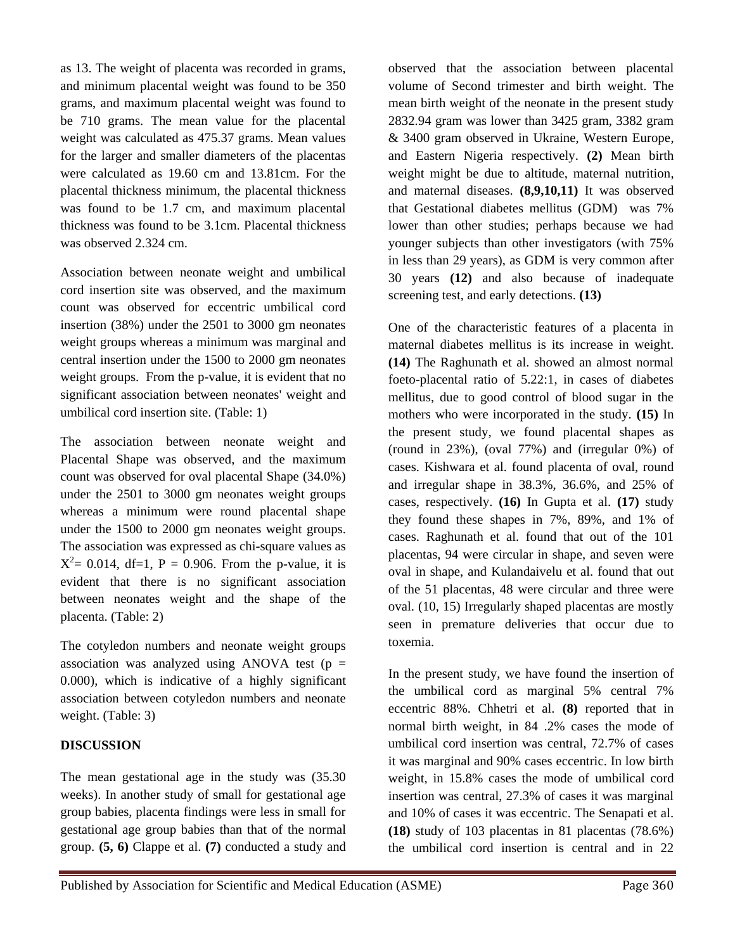as 13. The weight of placenta was recorded in grams, and minimum placental weight was found to be 350 grams, and maximum placental weight was found to be 710 grams. The mean value for the placental weight was calculated as 475.37 grams. Mean values for the larger and smaller diameters of the placentas were calculated as 19.60 cm and 13.81cm. For the placental thickness minimum, the placental thickness was found to be 1.7 cm, and maximum placental thickness was found to be 3.1cm. Placental thickness was observed 2.324 cm.

Association between neonate weight and umbilical cord insertion site was observed, and the maximum count was observed for eccentric umbilical cord insertion (38%) under the 2501 to 3000 gm neonates weight groups whereas a minimum was marginal and central insertion under the 1500 to 2000 gm neonates weight groups. From the p-value, it is evident that no significant association between neonates' weight and umbilical cord insertion site. (Table: 1)

The association between neonate weight and Placental Shape was observed, and the maximum count was observed for oval placental Shape (34.0%) under the 2501 to 3000 gm neonates weight groups whereas a minimum were round placental shape under the 1500 to 2000 gm neonates weight groups. The association was expressed as chi-square values as  $X^2 = 0.014$ , df=1, P = 0.906. From the p-value, it is evident that there is no significant association between neonates weight and the shape of the placenta. (Table: 2)

The cotyledon numbers and neonate weight groups association was analyzed using ANOVA test ( $p =$ 0.000), which is indicative of a highly significant association between cotyledon numbers and neonate weight. (Table: 3)

#### **DISCUSSION**

The mean gestational age in the study was (35.30 weeks). In another study of small for gestational age group babies, placenta findings were less in small for gestational age group babies than that of the normal group. **(5, 6)** Clappe et al. **(7)** conducted a study and

observed that the association between placental volume of Second trimester and birth weight. The mean birth weight of the neonate in the present study 2832.94 gram was lower than 3425 gram, 3382 gram & 3400 gram observed in Ukraine, Western Europe, and Eastern Nigeria respectively. **(2)** Mean birth weight might be due to altitude, maternal nutrition, and maternal diseases. **(8,9,10,11)** It was observed that Gestational diabetes mellitus (GDM) was 7% lower than other studies; perhaps because we had younger subjects than other investigators (with 75% in less than 29 years), as GDM is very common after 30 years **(12)** and also because of inadequate screening test, and early detections. **(13)**

One of the characteristic features of a placenta in maternal diabetes mellitus is its increase in weight. **(14)** The Raghunath et al. showed an almost normal foeto-placental ratio of 5.22:1, in cases of diabetes mellitus, due to good control of blood sugar in the mothers who were incorporated in the study. **(15)** In the present study, we found placental shapes as (round in 23%), (oval 77%) and (irregular 0%) of cases. Kishwara et al. found placenta of oval, round and irregular shape in 38.3%, 36.6%, and 25% of cases, respectively. **(16)** In Gupta et al. **(17)** study they found these shapes in 7%, 89%, and 1% of cases. Raghunath et al. found that out of the 101 placentas, 94 were circular in shape, and seven were oval in shape, and Kulandaivelu et al. found that out of the 51 placentas, 48 were circular and three were oval. (10, 15) Irregularly shaped placentas are mostly seen in premature deliveries that occur due to toxemia.

In the present study, we have found the insertion of the umbilical cord as marginal 5% central 7% eccentric 88%. Chhetri et al. **(8)** reported that in normal birth weight, in 84 .2% cases the mode of umbilical cord insertion was central, 72.7% of cases it was marginal and 90% cases eccentric. In low birth weight, in 15.8% cases the mode of umbilical cord insertion was central, 27.3% of cases it was marginal and 10% of cases it was eccentric. The Senapati et al. **(18)** study of 103 placentas in 81 placentas (78.6%) the umbilical cord insertion is central and in 22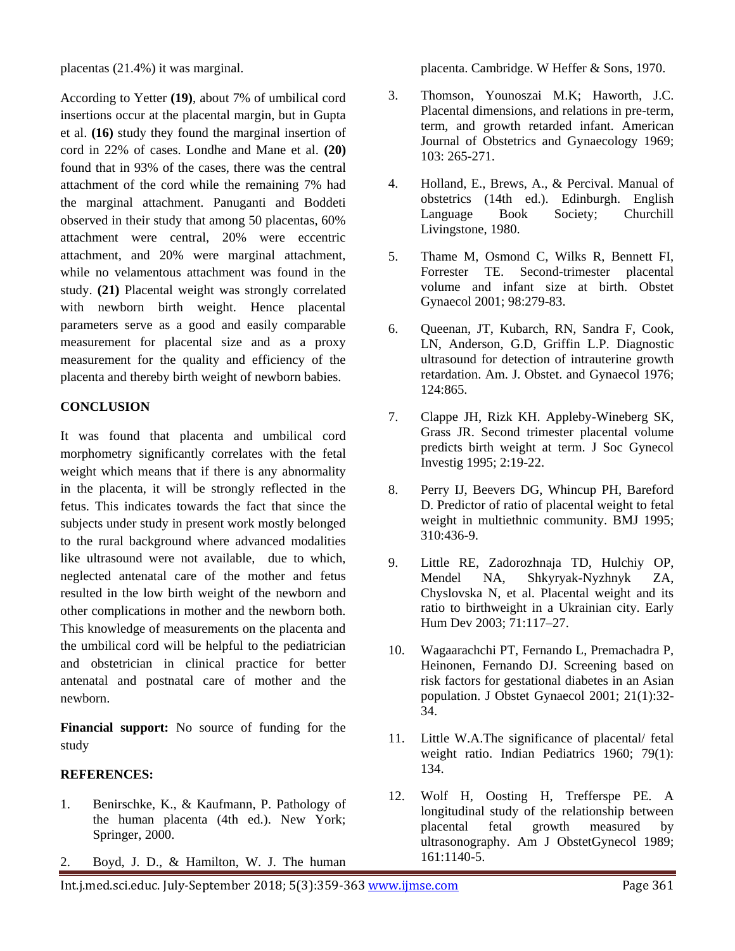placentas (21.4%) it was marginal.

According to Yetter **(19)**, about 7% of umbilical cord insertions occur at the placental margin, but in Gupta et al. **(16)** study they found the marginal insertion of cord in 22% of cases. Londhe and Mane et al. **(20)** found that in 93% of the cases, there was the central attachment of the cord while the remaining 7% had the marginal attachment. Panuganti and Boddeti observed in their study that among 50 placentas, 60% attachment were central, 20% were eccentric attachment, and 20% were marginal attachment, while no velamentous attachment was found in the study. **(21)** Placental weight was strongly correlated with newborn birth weight. Hence placental parameters serve as a good and easily comparable measurement for placental size and as a proxy measurement for the quality and efficiency of the placenta and thereby birth weight of newborn babies.

#### **CONCLUSION**

It was found that placenta and umbilical cord morphometry significantly correlates with the fetal weight which means that if there is any abnormality in the placenta, it will be strongly reflected in the fetus. This indicates towards the fact that since the subjects under study in present work mostly belonged to the rural background where advanced modalities like ultrasound were not available, due to which, neglected antenatal care of the mother and fetus resulted in the low birth weight of the newborn and other complications in mother and the newborn both. This knowledge of measurements on the placenta and the umbilical cord will be helpful to the pediatrician and obstetrician in clinical practice for better antenatal and postnatal care of mother and the newborn.

**Financial support:** No source of funding for the study

#### **REFERENCES:**

- 1. Benirschke, K., & Kaufmann, P. Pathology of the human placenta (4th ed.). New York; Springer, 2000.
- 2. Boyd, J. D., & Hamilton, W. J. The human

placenta. Cambridge. W Heffer & Sons, 1970.

- 3. Thomson, Younoszai M.K; Haworth, J.C. Placental dimensions, and relations in pre-term, term, and growth retarded infant. American Journal of Obstetrics and Gynaecology 1969; 103: 265-271.
- 4. Holland, E., Brews, A., & Percival. Manual of obstetrics (14th ed.). Edinburgh. English Language Book Society; Churchill Livingstone, 1980.
- 5. Thame M, Osmond C, Wilks R, Bennett FI, Forrester TE. Second-trimester placental volume and infant size at birth. Obstet Gynaecol 2001; 98:279-83.
- 6. Queenan, JT, Kubarch, RN, Sandra F, Cook, LN, Anderson, G.D, Griffin L.P. Diagnostic ultrasound for detection of intrauterine growth retardation. Am. J. Obstet. and Gynaecol 1976; 124:865.
- 7. Clappe JH, Rizk KH. Appleby-Wineberg SK, Grass JR. Second trimester placental volume predicts birth weight at term. J Soc Gynecol Investig 1995; 2:19-22.
- 8. Perry IJ, Beevers DG, Whincup PH, Bareford D. Predictor of ratio of placental weight to fetal weight in multiethnic community. BMJ 1995; 310:436-9.
- 9. Little RE, Zadorozhnaja TD, Hulchiy OP, Mendel NA, Shkyryak-Nyzhnyk ZA, Chyslovska N, et al. Placental weight and its ratio to birthweight in a Ukrainian city. Early Hum Dev 2003; 71:117–27.
- 10. Wagaarachchi PT, Fernando L, Premachadra P, Heinonen, Fernando DJ. Screening based on risk factors for gestational diabetes in an Asian population. J Obstet Gynaecol 2001; 21(1):32- 34.
- 11. Little W.A.The significance of placental/ fetal weight ratio. Indian Pediatrics 1960; 79(1): 134.
- 12. Wolf H, Oosting H, Trefferspe PE. A longitudinal study of the relationship between placental fetal growth measured by ultrasonography. Am J ObstetGynecol 1989; 161:1140-5.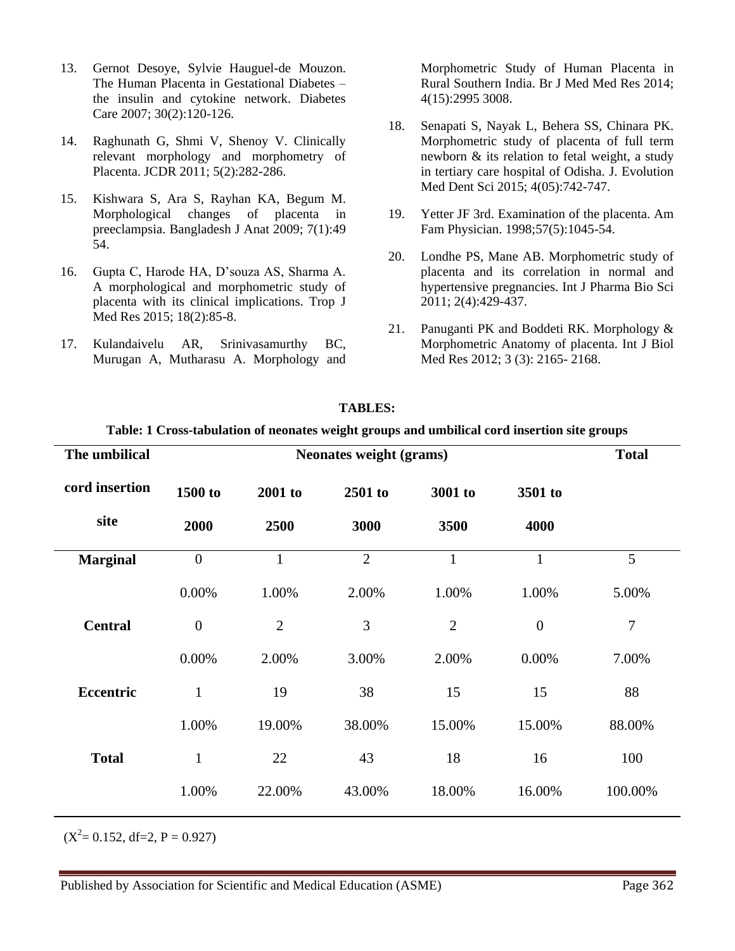- 13. Gernot Desoye, Sylvie Hauguel-de Mouzon. The Human Placenta in Gestational Diabetes – the insulin and cytokine network. Diabetes Care 2007; 30(2):120-126.
- 14. Raghunath G, Shmi V, Shenoy V. Clinically relevant morphology and morphometry of Placenta. JCDR 2011; 5(2):282-286.
- 15. Kishwara S, Ara S, Rayhan KA, Begum M. Morphological changes of placenta in preeclampsia. Bangladesh J Anat 2009; 7(1):49 54.
- 16. Gupta C, Harode HA, D'souza AS, Sharma A. A morphological and morphometric study of placenta with its clinical implications. Trop J Med Res 2015; 18(2):85-8.
- 17. Kulandaivelu AR, Srinivasamurthy BC, Murugan A, Mutharasu A. Morphology and

Morphometric Study of Human Placenta in Rural Southern India. Br J Med Med Res 2014; 4(15):2995 3008.

- 18. Senapati S, Nayak L, Behera SS, Chinara PK. Morphometric study of placenta of full term newborn & its relation to fetal weight, a study in tertiary care hospital of Odisha. J. Evolution Med Dent Sci 2015; 4(05):742-747.
- 19. Yetter JF 3rd. Examination of the placenta. Am Fam Physician. 1998;57(5):1045-54.
- 20. Londhe PS, Mane AB. Morphometric study of placenta and its correlation in normal and hypertensive pregnancies. Int J Pharma Bio Sci 2011; 2(4):429-437.
- 21. Panuganti PK and Boddeti RK. Morphology & Morphometric Anatomy of placenta. Int J Biol Med Res 2012; 3 (3): 2165- 2168.

| The umbilical   |                | <b>Total</b>   |                |                |                |                |
|-----------------|----------------|----------------|----------------|----------------|----------------|----------------|
| cord insertion  | 1500 to        | 2001 to        | 2501 to        | 3001 to        | 3501 to        |                |
| site            | 2000           | 2500           | 3000           | 3500           | 4000           |                |
| <b>Marginal</b> | $\overline{0}$ | $\mathbf{1}$   | $\overline{2}$ | $\mathbf{1}$   | $\mathbf{1}$   | 5              |
|                 | 0.00%          | 1.00%          | 2.00%          | 1.00%          | 1.00%          | 5.00%          |
| <b>Central</b>  | $\overline{0}$ | $\overline{2}$ | 3              | $\overline{2}$ | $\overline{0}$ | $\overline{7}$ |
|                 | 0.00%          | 2.00%          | 3.00%          | 2.00%          | 0.00%          | 7.00%          |
| Eccentric       | $\mathbf{1}$   | 19             | 38             | 15             | 15             | 88             |
|                 | 1.00%          | 19.00%         | 38.00%         | 15.00%         | 15.00%         | 88.00%         |
| <b>Total</b>    | $\mathbf{1}$   | 22             | 43             | 18             | 16             | 100            |
|                 | 1.00%          | 22.00%         | 43.00%         | 18.00%         | 16.00%         | 100.00%        |

### **TABLES:**

#### **Table: 1 Cross-tabulation of neonates weight groups and umbilical cord insertion site groups**

 $(X^2 = 0.152, df = 2, P = 0.927)$